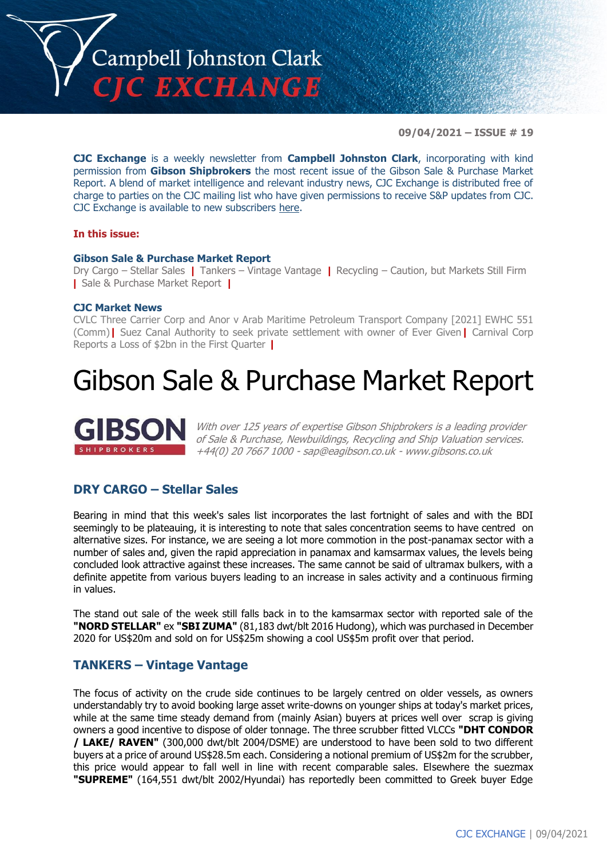

**09/04/2021 – ISSUE # 19**

**CJC Exchange** is a weekly newsletter from **Campbell Johnston Clark**, incorporating with kind permission from **Gibson Shipbrokers** the most recent issue of the Gibson Sale & Purchase Market Report. A blend of market intelligence and relevant industry news, CJC Exchange is distributed free of charge to parties on the CJC mailing list who have given permissions to receive S&P updates from CJC. CJC Exchange is available to new subscribers [here.](mailto:jamesc@cjclaw.com?subject=CJC%20Exchange%20sign-up)

#### **In this issue:**

#### **Gibson Sale & Purchase Market Report**

Dry Cargo – Stellar Sales **|** Tankers – Vintage Vantage **|** Recycling – Caution, but Markets Still Firm **|** Sale & Purchase Market Report **|**

#### **CJC Market News**

CVLC Three Carrier Corp and Anor v Arab Maritime Petroleum Transport Company [2021] EWHC 551 (Comm)**|** Suez Canal Authority to seek private settlement with owner of Ever Given**|** Carnival Corp Reports a Loss of \$2bn in the First Quarter **|**

# Gibson Sale & Purchase Market Report



With over 125 years of expertise Gibson Shipbrokers is a leading provider of Sale & Purchase, Newbuildings, Recycling and Ship Valuation services. +44(0) 20 7667 1000 - [sap@eagibson.co.uk](mailto:sap@eagibson.co.uk) - [www.gibsons.co.uk](https://protect-eu.mimecast.com/s/VO6nCGZzRS60KqcK1jQh/)

# **DRY CARGO – Stellar Sales**

Bearing in mind that this week's sales list incorporates the last fortnight of sales and with the BDI seemingly to be plateauing, it is interesting to note that sales concentration seems to have centred on alternative sizes. For instance, we are seeing a lot more commotion in the post-panamax sector with a number of sales and, given the rapid appreciation in panamax and kamsarmax values, the levels being concluded look attractive against these increases. The same cannot be said of ultramax bulkers, with a definite appetite from various buyers leading to an increase in sales activity and a continuous firming in values.

The stand out sale of the week still falls back in to the kamsarmax sector with reported sale of the **"NORD STELLAR"** ex **"SBI ZUMA"** (81,183 dwt/blt 2016 Hudong), which was purchased in December 2020 for US\$20m and sold on for US\$25m showing a cool US\$5m profit over that period.

## **TANKERS – Vintage Vantage**

The focus of activity on the crude side continues to be largely centred on older vessels, as owners understandably try to avoid booking large asset write-downs on younger ships at today's market prices, while at the same time steady demand from (mainly Asian) buyers at prices well over scrap is giving owners a good incentive to dispose of older tonnage. The three scrubber fitted VLCCs **"DHT CONDOR / LAKE/ RAVEN"** (300,000 dwt/blt 2004/DSME) are understood to have been sold to two different buyers at a price of around US\$28.5m each. Considering a notional premium of US\$2m for the scrubber, this price would appear to fall well in line with recent comparable sales. Elsewhere the suezmax **"SUPREME"** (164,551 dwt/blt 2002/Hyundai) has reportedly been committed to Greek buyer Edge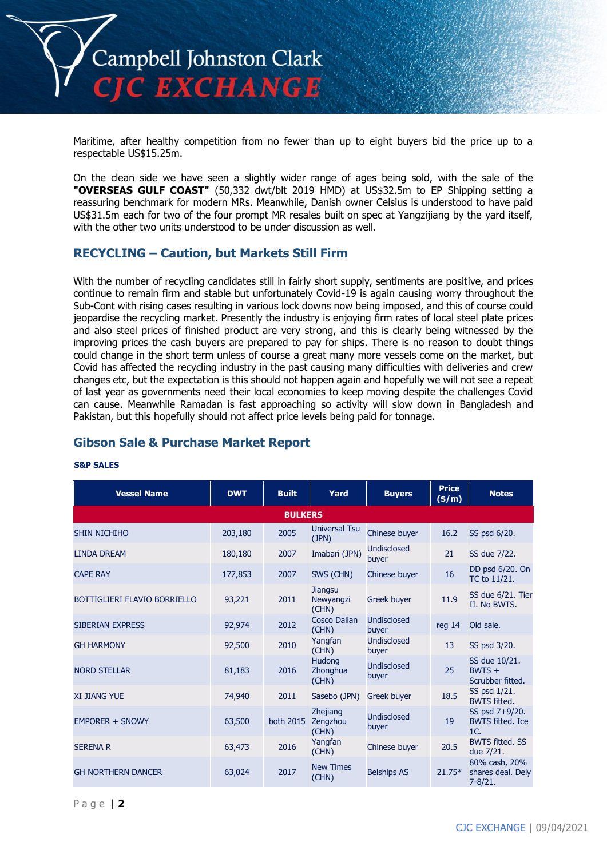

Maritime, after healthy competition from no fewer than up to eight buyers bid the price up to a respectable US\$15.25m.

On the clean side we have seen a slightly wider range of ages being sold, with the sale of the **"OVERSEAS GULF COAST"** (50,332 dwt/blt 2019 HMD) at US\$32.5m to EP Shipping setting a reassuring benchmark for modern MRs. Meanwhile, Danish owner Celsius is understood to have paid US\$31.5m each for two of the four prompt MR resales built on spec at Yangzijiang by the yard itself, with the other two units understood to be under discussion as well.

# **RECYCLING – Caution, but Markets Still Firm**

With the number of recycling candidates still in fairly short supply, sentiments are positive, and prices continue to remain firm and stable but unfortunately Covid-19 is again causing worry throughout the Sub-Cont with rising cases resulting in various lock downs now being imposed, and this of course could jeopardise the recycling market. Presently the industry is enjoying firm rates of local steel plate prices and also steel prices of finished product are very strong, and this is clearly being witnessed by the improving prices the cash buyers are prepared to pay for ships. There is no reason to doubt things could change in the short term unless of course a great many more vessels come on the market, but Covid has affected the recycling industry in the past causing many difficulties with deliveries and crew changes etc, but the expectation is this should not happen again and hopefully we will not see a repeat of last year as governments need their local economies to keep moving despite the challenges Covid can cause. Meanwhile Ramadan is fast approaching so activity will slow down in Bangladesh and Pakistan, but this hopefully should not affect price levels being paid for tonnage.

# **Gibson Sale & Purchase Market Report**

#### **Vessel Name DWT Built Yard Buyers Price (\$/m) Notes BULKERS** SHIN NICHIHO 203,180 2005 Universal Tsu Chinese buyer  $16.2$  SS psd  $6/20$ . LINDA DREAM 180,180 2007 Imabari (JPN) Undisclosed 21 SS due 7/22. CAPE RAY 177,853 2007 SWS (CHN) Chinese buyer 16 DD psd 6/20. On TC to 11/21. BOTTIGLIERI FLAVIO BORRIELLO 93,221 2011 **Jiangsu** Newyangzi (CHN) Greek buyer 11.9 SS due 6/21. Tier II. No BWTS. SIBERIAN EXPRESS 92,974 2012 Cosco Dalian (CHN) Undisclosed buyer reg 14 Old sale. GH HARMONY 92,500 <sup>2010</sup> Yangfan (CHN) Undisclosed buyer 13 SS psd 3/20. NORD STELLAR 81,183 2016 **Hudong Zhonghua** (CHN) Undisclosed buyer 25 SS due 10/21.  $BWTS +$ Scrubber fitted.  $XI$  JIANG YUE  $Z4,940$  2011 Sasebo (JPN) Greek buyer  $18.5$  SS psd 1/21. BWTS fitted. EMPORER + SNOWY 63,500 both 2015 Zhejiang Zengzhou (CHN) Undisclosed Unaisciosea<br>buyer 19 SS psd 7+9/20. BWTS fitted. Ice 1C.<br>BWTS fitted. SS SERENA R 63,473 2016  $\overline{C_{\text{CUM1}}}$ Yangfan Chinese buyer 20.5 due 7/21. GH NORTHERN DANCER 63,024 2017 New Times Belships  $AS$  21.75 $*$ 80% cash, 20% shares deal. Dely 7-8/21.

#### **S&P SALES**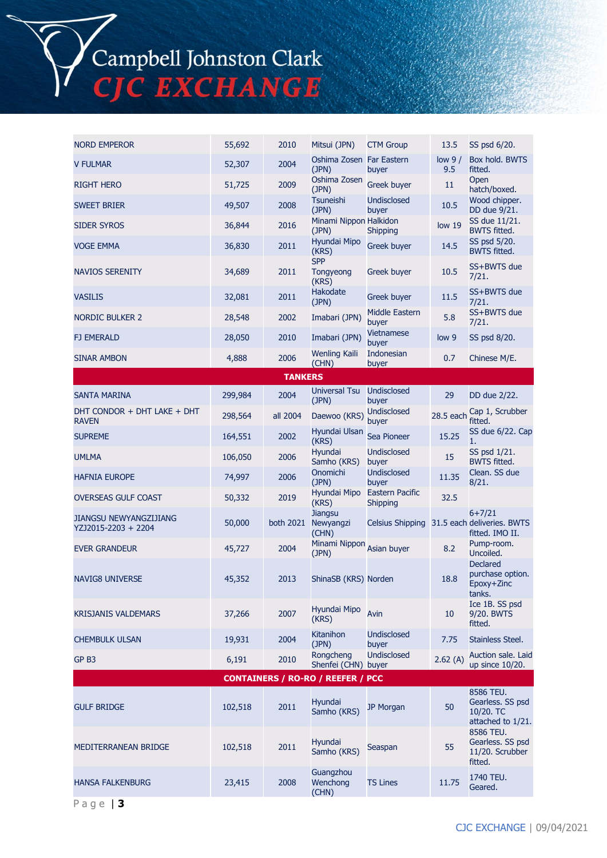Campbell Johnston Clark<br>CJC EXCHANGE

| <b>NORD EMPEROR</b>                                  | 55,692  | 2010           | Mitsui (JPN)                         | <b>CTM Group</b>            | 13.5            | SS psd 6/20.                                                                 |
|------------------------------------------------------|---------|----------------|--------------------------------------|-----------------------------|-----------------|------------------------------------------------------------------------------|
| <b>V FULMAR</b>                                      | 52,307  | 2004           | Oshima Zosen Far Eastern<br>(JPN)    | buyer                       | low $9/$<br>9.5 | Box hold. BWTS<br>fitted.                                                    |
| <b>RIGHT HERO</b>                                    | 51,725  | 2009           | Oshima Zosen<br>(JPN)                | Greek buyer                 | 11              | Open<br>hatch/boxed.                                                         |
| <b>SWEET BRIER</b>                                   | 49,507  | 2008           | <b>Tsuneishi</b><br>(JPN)            | <b>Undisclosed</b><br>buyer | 10.5            | Wood chipper.<br>DD due 9/21.                                                |
| <b>SIDER SYROS</b>                                   | 36,844  | 2016           | Minami Nippon Halkidon<br>(JPN)      | <b>Shipping</b>             | low 19          | SS due 11/21.<br><b>BWTS fitted.</b>                                         |
| <b>VOGE EMMA</b>                                     | 36,830  | 2011           | Hyundai Mipo<br>(KRS)                | <b>Greek buyer</b>          | 14.5            | SS psd 5/20.<br><b>BWTS fitted.</b>                                          |
| <b>NAVIOS SERENITY</b>                               | 34,689  | 2011           | <b>SPP</b><br>Tongyeong<br>(KRS)     | Greek buyer                 | 10.5            | SS+BWTS due<br>7/21.                                                         |
| <b>VASILIS</b>                                       | 32,081  | 2011           | <b>Hakodate</b><br>(JPN)             | <b>Greek buyer</b>          | 11.5            | SS+BWTS due<br>7/21.                                                         |
| <b>NORDIC BULKER 2</b>                               | 28,548  | 2002           | Imabari (JPN)                        | Middle Eastern<br>buyer     | 5.8             | SS+BWTS due<br>7/21.                                                         |
| <b>FJ EMERALD</b>                                    | 28,050  | 2010           | Imabari (JPN)                        | <b>Vietnamese</b><br>buyer  | low 9           | SS psd 8/20.                                                                 |
| <b>SINAR AMBON</b>                                   | 4,888   | 2006           | Wenling Kaili<br>(CHN)               | Indonesian<br>buyer         | 0.7             | Chinese M/E.                                                                 |
|                                                      |         | <b>TANKERS</b> |                                      |                             |                 |                                                                              |
| <b>SANTA MARINA</b>                                  | 299,984 | 2004           | <b>Universal Tsu</b><br>(JPN)        | <b>Undisclosed</b><br>buyer | 29              | DD due 2/22.                                                                 |
| DHT CONDOR + DHT LAKE + DHT<br><b>RAVEN</b>          | 298,564 | all 2004       | Daewoo (KRS)                         | <b>Undisclosed</b><br>buyer | 28.5 each       | Cap 1, Scrubber<br>fitted.                                                   |
| <b>SUPREME</b>                                       | 164,551 | 2002           | Hyundai Ulsan<br>(KRS)               | Sea Pioneer                 | 15.25           | SS due 6/22. Cap<br>1.                                                       |
| <b>UMLMA</b>                                         | 106,050 | 2006           | Hyundai<br>Samho (KRS)               | <b>Undisclosed</b><br>buyer | 15              | SS psd 1/21.<br><b>BWTS fitted.</b>                                          |
| <b>HAFNIA EUROPE</b>                                 | 74,997  | 2006           | Onomichi<br>(JPN)                    | <b>Undisclosed</b><br>buyer | 11.35           | Clean. SS due<br>8/21.                                                       |
| <b>OVERSEAS GULF COAST</b>                           | 50,332  | 2019           | Hyundai Mipo<br>(KRS)                | Eastern Pacific<br>Shipping | 32.5            |                                                                              |
| <b>JIANGSU NEWYANGZIJIANG</b><br>YZJ2015-2203 + 2204 | 50,000  | both 2021      | <b>Jiangsu</b><br>Newyangzi<br>(CHN) |                             |                 | $6 + 7/21$<br>Celsius Shipping 31.5 each deliveries. BWTS<br>fitted. IMO II. |
| <b>EVER GRANDEUR</b>                                 | 45,727  | 2004           | Minami Nippon<br>(JPN)               | Asian buyer                 | 8.2             | Pump-room.<br>Uncoiled.                                                      |
| <b>NAVIG8 UNIVERSE</b>                               | 45,352  | 2013           | ShinaSB (KRS) Norden                 |                             | 18.8            | <b>Declared</b><br>purchase option.<br>Epoxy+Zinc<br>tanks.                  |
| <b>KRISJANIS VALDEMARS</b>                           | 37,266  | 2007           | Hyundai Mipo<br>(KRS)                | Avin                        | 10              | Ice 1B. SS psd<br>9/20. BWTS<br>fitted.                                      |
| <b>CHEMBULK ULSAN</b>                                | 19,931  | 2004           | Kitanihon<br>(JPN)                   | <b>Undisclosed</b><br>buyer | 7.75            | Stainless Steel.                                                             |
| GP <sub>B3</sub>                                     | 6,191   | 2010           | Rongcheng<br>Shenfei (CHN) buyer     | <b>Undisclosed</b>          | 2.62(A)         | Auction sale. Laid<br>up since 10/20.                                        |
| <b>CONTAINERS / RO-RO / REEFER / PCC</b>             |         |                |                                      |                             |                 |                                                                              |
| <b>GULF BRIDGE</b>                                   | 102,518 | 2011           | Hyundai<br>Samho (KRS)               | JP Morgan                   | 50              | 8586 TEU.<br>Gearless. SS psd<br>10/20. TC<br>attached to 1/21.              |
| <b>MEDITERRANEAN BRIDGE</b>                          | 102,518 | 2011           | Hyundai<br>Samho (KRS)               | Seaspan                     | 55              | 8586 TEU.<br>Gearless. SS psd<br>11/20. Scrubber<br>fitted.                  |
| <b>HANSA FALKENBURG</b>                              | 23,415  | 2008           | Guangzhou<br>Wenchong<br>(CHN)       | <b>TS Lines</b>             | 11.75           | 1740 TEU.<br>Geared.                                                         |

P a g e | **3**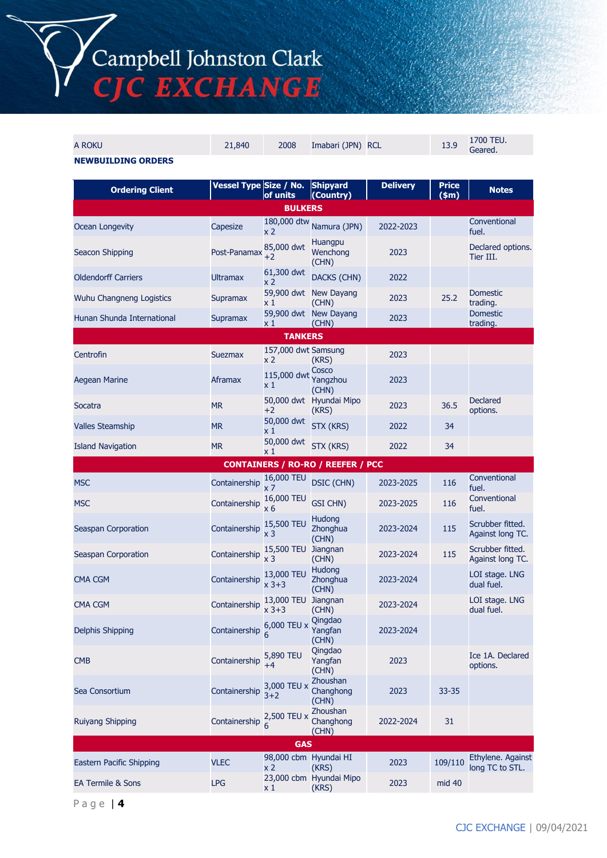# Campbell Johnston Clark<br>CJC EXCHANGE

| A ROKU                                   | 21,840                 | 2008                                | Imabari (JPN) RCL                   |                 | 13.9                  | 1700 TEU.<br>Geared.                 |
|------------------------------------------|------------------------|-------------------------------------|-------------------------------------|-----------------|-----------------------|--------------------------------------|
| <b>NEWBUILDING ORDERS</b>                |                        |                                     |                                     |                 |                       |                                      |
| <b>Ordering Client</b>                   | Vessel Type Size / No. | of units                            | Shipyard<br>(Country)               | <b>Delivery</b> | <b>Price</b><br>\$m\$ | <b>Notes</b>                         |
|                                          |                        | <b>BULKERS</b>                      |                                     |                 |                       |                                      |
| <b>Ocean Longevity</b>                   | Capesize               | x 2                                 | 180,000 dtw Namura (JPN)            | 2022-2023       |                       | Conventional<br>fuel.                |
| Seacon Shipping                          | Post-Panamax           | 85,000 dwt<br>$+2$                  | <b>Huangpu</b><br>Wenchong<br>(CHN) | 2023            |                       | Declared options.<br>Tier III.       |
| <b>Oldendorff Carriers</b>               | <b>Ultramax</b>        | 61,300 dwt<br>x 2                   | <b>DACKS (CHN)</b>                  | 2022            |                       |                                      |
| Wuhu Changneng Logistics                 | Supramax               | x 1                                 | 59,900 dwt New Dayang<br>(CHN)      | 2023            | 25.2                  | <b>Domestic</b><br>trading.          |
| Hunan Shunda International               | <b>Supramax</b>        | x 1                                 | 59,900 dwt New Dayang<br>(CHN)      | 2023            |                       | <b>Domestic</b><br>trading.          |
|                                          |                        | <b>TANKERS</b>                      |                                     |                 |                       |                                      |
| Centrofin                                | Suezmax                | 157,000 dwt Samsung<br>x 2          | (KRS)                               | 2023            |                       |                                      |
| <b>Aegean Marine</b>                     | Aframax                | 115,000 dwt<br>x 1                  | Cosco<br>Yangzhou<br>(CHN)          | 2023            |                       |                                      |
| Socatra                                  | <b>MR</b>              | $+2$                                | 50,000 dwt Hyundai Mipo<br>(KRS)    | 2023            | 36.5                  | <b>Declared</b><br>options.          |
| <b>Valles Steamship</b>                  | <b>MR</b>              | 50,000 dwt<br>x 1                   | STX (KRS)                           | 2022            | 34                    |                                      |
| <b>Island Navigation</b>                 | <b>MR</b>              | 50,000 dwt<br>x 1                   | STX (KRS)                           | 2022            | 34                    |                                      |
| <b>CONTAINERS / RO-RO / REEFER / PCC</b> |                        |                                     |                                     |                 |                       |                                      |
|                                          |                        |                                     |                                     |                 |                       |                                      |
| <b>MSC</b>                               | Containership          | 16,000 TEU                          | <b>DSIC (CHN)</b>                   | 2023-2025       | 116                   | Conventional                         |
| <b>MSC</b>                               | Containership          | x <sub>7</sub><br>16,000 TEU<br>x 6 | <b>GSI CHN)</b>                     | 2023-2025       | 116                   | fuel.<br>Conventional<br>fuel.       |
| Seaspan Corporation                      | Containership          | 15,500 TEU<br>x <sub>3</sub>        | Hudong<br>Zhonghua<br>(CHN)         | 2023-2024       | 115                   | Scrubber fitted.<br>Against long TC. |
| Seaspan Corporation                      | Containership          | 15,500 TEU<br>$x\overline{3}$       | Jiangnan<br>(CHN)                   | 2023-2024       | 115                   | Scrubber fitted.<br>Against long TC. |
| <b>CMA CGM</b>                           | Containership          | 13,000 TEU<br>x 3+3                 | <b>Hudong</b><br>Zhonghua<br>(CHN)  | 2023-2024       |                       | LOI stage. LNG<br>dual fuel.         |
| CMA CGM                                  | Containership          | 13,000 TEU Jiangnan<br>$x 3 + 3$    | (CHN)                               | 2023-2024       |                       | LOI stage. LNG<br>dual fuel.         |
| Delphis Shipping                         | Containership          | 6,000 TEU x                         | Qingdao<br>Yangfan<br>(CHN)         | 2023-2024       |                       |                                      |
| <b>CMB</b>                               | Containership          | 5,890 TEU<br>$+4$                   | Qingdao<br>Yangfan<br>(CHN)         | 2023            |                       | Ice 1A. Declared<br>options.         |
| Sea Consortium                           | Containership          | 3,000 TEU x<br>$3+2$                | Zhoushan<br>Changhong<br>(CHN)      | 2023            | $33 - 35$             |                                      |
| <b>Ruiyang Shipping</b>                  | Containership          | 2,500 TEU x<br>6                    | Zhoushan<br>Changhong<br>(CHN)      | 2022-2024       | 31                    |                                      |
|                                          |                        | <b>GAS</b>                          |                                     |                 |                       |                                      |
| Eastern Pacific Shipping                 | <b>VLEC</b>            | 98,000 cbm Hyundai HI<br>x 2        | (KRS)<br>23,000 cbm Hyundai Mipo    | 2023            | 109/110               | Ethylene. Against<br>long TC to STL. |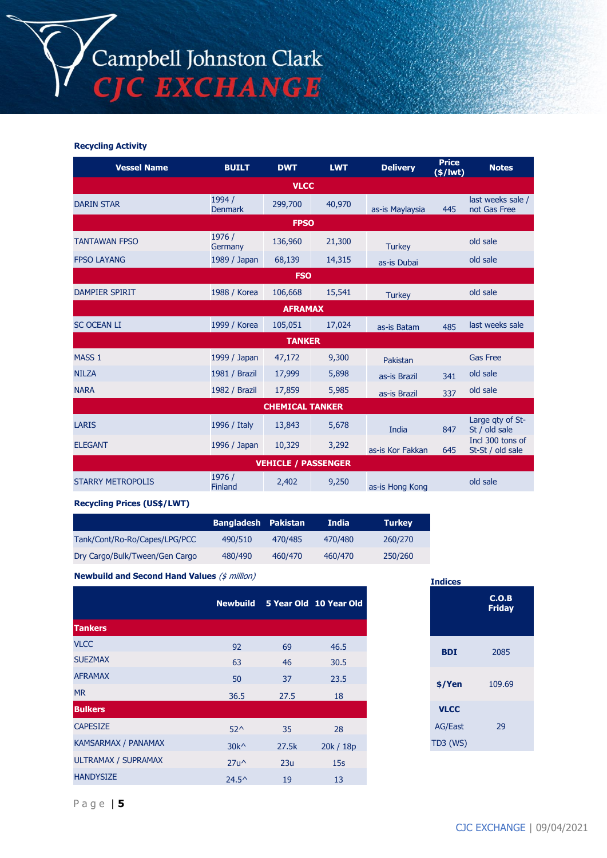#### **Recycling Activity**

| <b>Vessel Name</b>         | <b>BUILT</b>             | <b>DWT</b>    | <b>LWT</b> | <b>Delivery</b>  | <b>Price</b><br>$(*)$ lwt) | <b>Notes</b>                         |  |
|----------------------------|--------------------------|---------------|------------|------------------|----------------------------|--------------------------------------|--|
| <b>VLCC</b>                |                          |               |            |                  |                            |                                      |  |
| <b>DARIN STAR</b>          | 1994 /<br><b>Denmark</b> | 299,700       | 40,970     | as-is Maylaysia  | 445                        | last weeks sale /<br>not Gas Free    |  |
| <b>FPSO</b>                |                          |               |            |                  |                            |                                      |  |
| <b>TANTAWAN FPSO</b>       | 1976 /<br>Germany        | 136,960       | 21,300     | <b>Turkey</b>    |                            | old sale                             |  |
| <b>FPSO LAYANG</b>         | 1989 / Japan             | 68,139        | 14,315     | as-is Dubai      |                            | old sale                             |  |
| <b>FSO</b>                 |                          |               |            |                  |                            |                                      |  |
| <b>DAMPIER SPIRIT</b>      | 1988 / Korea             | 106,668       | 15,541     | <b>Turkey</b>    |                            | old sale                             |  |
| <b>AFRAMAX</b>             |                          |               |            |                  |                            |                                      |  |
| <b>SC OCEAN LI</b>         | 1999 / Korea             | 105,051       | 17,024     | as-is Batam      | 485                        | last weeks sale                      |  |
|                            |                          | <b>TANKER</b> |            |                  |                            |                                      |  |
| MASS <sub>1</sub>          | 1999 / Japan             | 47,172        | 9,300      | Pakistan         |                            | <b>Gas Free</b>                      |  |
| <b>NILZA</b>               | 1981 / Brazil            | 17,999        | 5,898      | as-is Brazil     | 341                        | old sale                             |  |
| <b>NARA</b>                | 1982 / Brazil            | 17,859        | 5,985      | as-is Brazil     | 337                        | old sale                             |  |
| <b>CHEMICAL TANKER</b>     |                          |               |            |                  |                            |                                      |  |
| <b>LARIS</b>               | 1996 / Italy             | 13,843        | 5,678      | India            | 847                        | Large gty of St-<br>St / old sale    |  |
| <b>ELEGANT</b>             | 1996 / Japan             | 10,329        | 3,292      | as-is Kor Fakkan | 645                        | Incl 300 tons of<br>St-St / old sale |  |
| <b>VEHICLE / PASSENGER</b> |                          |               |            |                  |                            |                                      |  |
| <b>STARRY METROPOLIS</b>   | 1976 /<br><b>Finland</b> | 2,402         | 9,250      | as-is Hong Kong  |                            | old sale                             |  |

#### **Recycling Prices (US\$/LWT)**

|                                | <b>Bangladesh Pakistan</b> |         | India   | <b>Turkey</b> |
|--------------------------------|----------------------------|---------|---------|---------------|
| Tank/Cont/Ro-Ro/Capes/LPG/PCC  | 490/510                    | 470/485 | 470/480 | 260/270       |
| Dry Cargo/Bulk/Tween/Gen Cargo | 480/490                    | 460/470 | 460/470 | 250/260       |

**Newbuild and Second Hand Values** (\$ million)

|                            |                |       | Newbuild 5 Year Old 10 Year Old |
|----------------------------|----------------|-------|---------------------------------|
| <b>Tankers</b>             |                |       |                                 |
| <b>VLCC</b>                | 92             | 69    | 46.5                            |
| <b>SUEZMAX</b>             | 63             | 46    | 30.5                            |
| <b>AFRAMAX</b>             | 50             | 37    | 23.5                            |
| <b>MR</b>                  | 36.5           | 27.5  | 18                              |
| <b>Bulkers</b>             |                |       |                                 |
| <b>CAPESIZE</b>            | $52^{\wedge}$  | 35    | 28                              |
| <b>KAMSARMAX / PANAMAX</b> | $30k^{\wedge}$ | 27.5k | 20k / 18p                       |
| ULTRAMAX / SUPRAMAX        | $27u^{\wedge}$ | 23u   | 15s                             |
| <b>HANDYSIZE</b>           | $24.5^{\circ}$ | 19    | 13                              |

| <b>Indices</b> |                        |  |  |  |
|----------------|------------------------|--|--|--|
|                | C.O.B<br><b>Friday</b> |  |  |  |
| <b>BDI</b>     | 2085                   |  |  |  |
| \$/Yen         | 109.69                 |  |  |  |
| <b>VLCC</b>    |                        |  |  |  |
| <b>AG/East</b> | 29                     |  |  |  |
| TD3 (WS)       |                        |  |  |  |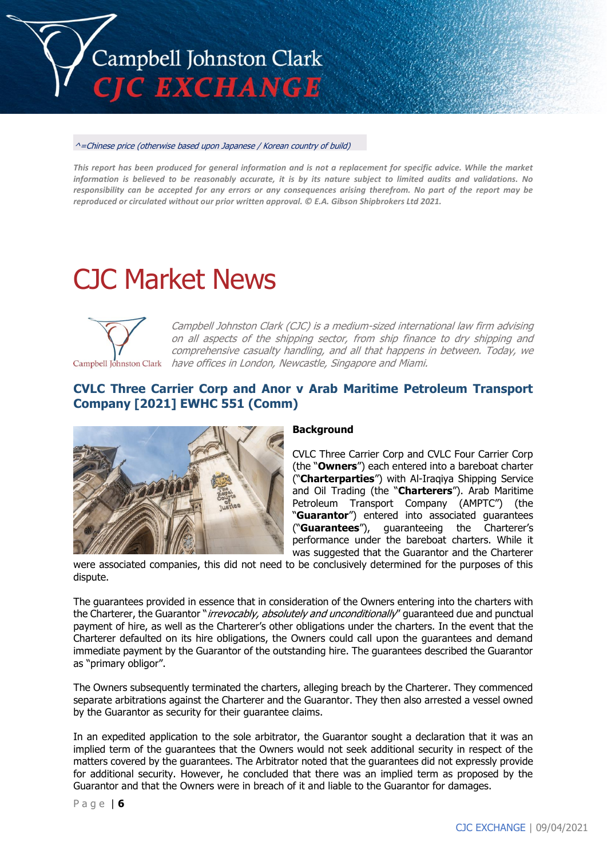

#### ^=Chinese price (otherwise based upon Japanese / Korean country of build)

*This report has been produced for general information and is not a replacement for specific advice. While the market information is believed to be reasonably accurate, it is by its nature subject to limited audits and validations. No responsibility can be accepted for any errors or any consequences arising therefrom. No part of the report may be reproduced or circulated without our prior written approval. © E.A. Gibson Shipbrokers Ltd 2021.*

# CJC Market News



Campbell Johnston Clark (CJC) is a medium-sized international law firm advising on all aspects of the shipping sector, from ship finance to dry shipping and comprehensive casualty handling, and all that happens in between. Today, we Campbell Johnston Clark have offices in London, Newcastle, Singapore and Miami.

## **CVLC Three Carrier Corp and Anor v Arab Maritime Petroleum Transport Company [2021] EWHC 551 (Comm)**



#### **Background**

CVLC Three Carrier Corp and CVLC Four Carrier Corp (the "**Owners**") each entered into a bareboat charter ("**Charterparties**") with Al-Iraqiya Shipping Service and Oil Trading (the "**Charterers**"). Arab Maritime Petroleum Transport Company (AMPTC") (the "**Guarantor**") entered into associated guarantees ("**Guarantees**"), guaranteeing the Charterer's performance under the bareboat charters. While it was suggested that the Guarantor and the Charterer

were associated companies, this did not need to be conclusively determined for the purposes of this dispute.

The guarantees provided in essence that in consideration of the Owners entering into the charters with the Charterer, the Guarantor "*irrevocably, absolutely and unconditionally*" guaranteed due and punctual payment of hire, as well as the Charterer's other obligations under the charters. In the event that the Charterer defaulted on its hire obligations, the Owners could call upon the guarantees and demand immediate payment by the Guarantor of the outstanding hire. The guarantees described the Guarantor as "primary obligor".

The Owners subsequently terminated the charters, alleging breach by the Charterer. They commenced separate arbitrations against the Charterer and the Guarantor. They then also arrested a vessel owned by the Guarantor as security for their guarantee claims.

In an expedited application to the sole arbitrator, the Guarantor sought a declaration that it was an implied term of the guarantees that the Owners would not seek additional security in respect of the matters covered by the guarantees. The Arbitrator noted that the guarantees did not expressly provide for additional security. However, he concluded that there was an implied term as proposed by the Guarantor and that the Owners were in breach of it and liable to the Guarantor for damages.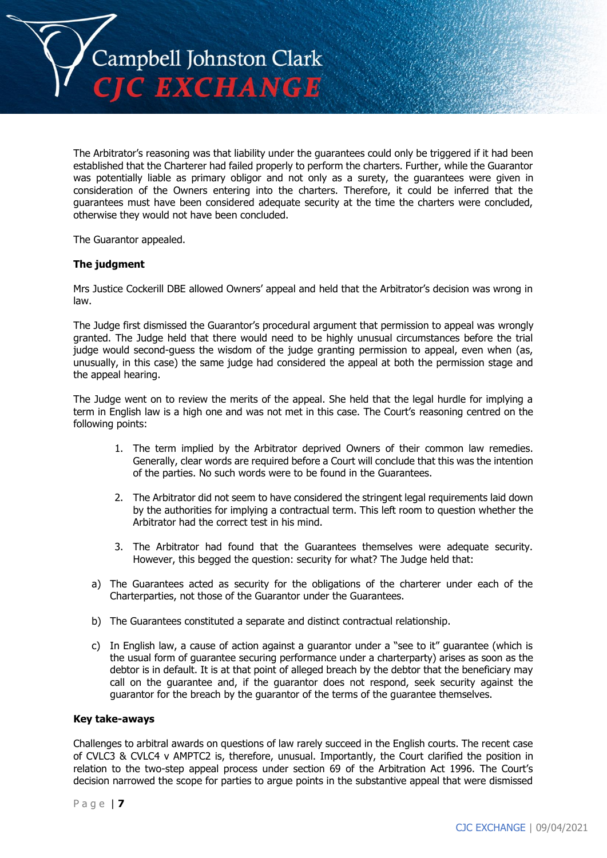

The Arbitrator's reasoning was that liability under the guarantees could only be triggered if it had been established that the Charterer had failed properly to perform the charters. Further, while the Guarantor was potentially liable as primary obligor and not only as a surety, the guarantees were given in consideration of the Owners entering into the charters. Therefore, it could be inferred that the guarantees must have been considered adequate security at the time the charters were concluded, otherwise they would not have been concluded.

The Guarantor appealed.

#### **The judgment**

Mrs Justice Cockerill DBE allowed Owners' appeal and held that the Arbitrator's decision was wrong in law.

The Judge first dismissed the Guarantor's procedural argument that permission to appeal was wrongly granted. The Judge held that there would need to be highly unusual circumstances before the trial judge would second-guess the wisdom of the judge granting permission to appeal, even when (as, unusually, in this case) the same judge had considered the appeal at both the permission stage and the appeal hearing.

The Judge went on to review the merits of the appeal. She held that the legal hurdle for implying a term in English law is a high one and was not met in this case. The Court's reasoning centred on the following points:

- 1. The term implied by the Arbitrator deprived Owners of their common law remedies. Generally, clear words are required before a Court will conclude that this was the intention of the parties. No such words were to be found in the Guarantees.
- 2. The Arbitrator did not seem to have considered the stringent legal requirements laid down by the authorities for implying a contractual term. This left room to question whether the Arbitrator had the correct test in his mind.
- 3. The Arbitrator had found that the Guarantees themselves were adequate security. However, this begged the question: security for what? The Judge held that:
- a) The Guarantees acted as security for the obligations of the charterer under each of the Charterparties, not those of the Guarantor under the Guarantees.
- b) The Guarantees constituted a separate and distinct contractual relationship.
- c) In English law, a cause of action against a guarantor under a "see to it" guarantee (which is the usual form of guarantee securing performance under a charterparty) arises as soon as the debtor is in default. It is at that point of alleged breach by the debtor that the beneficiary may call on the guarantee and, if the guarantor does not respond, seek security against the guarantor for the breach by the guarantor of the terms of the guarantee themselves.

#### **Key take-aways**

Challenges to arbitral awards on questions of law rarely succeed in the English courts. The recent case of CVLC3 & CVLC4 v AMPTC2 is, therefore, unusual. Importantly, the Court clarified the position in relation to the two-step appeal process under section 69 of the Arbitration Act 1996. The Court's decision narrowed the scope for parties to argue points in the substantive appeal that were dismissed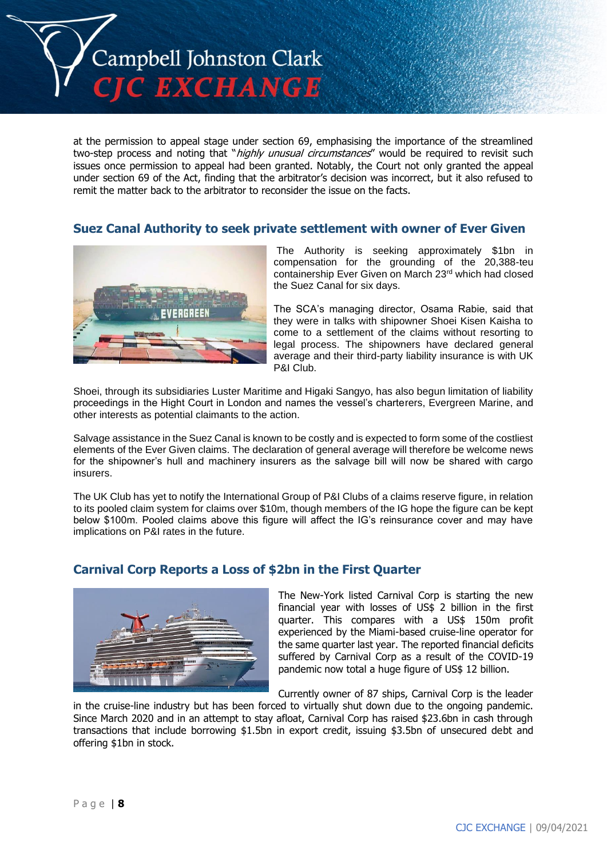

at the permission to appeal stage under section 69, emphasising the importance of the streamlined two-step process and noting that "*highly unusual circumstances*" would be required to revisit such issues once permission to appeal had been granted. Notably, the Court not only granted the appeal under section 69 of the Act, finding that the arbitrator's decision was incorrect, but it also refused to remit the matter back to the arbitrator to reconsider the issue on the facts.

## **Suez Canal Authority to seek private settlement with owner of Ever Given**



The Authority is seeking approximately \$1bn in compensation for the grounding of the 20,388-teu containership Ever Given on March 23rd which had closed the Suez Canal for six days.

The SCA's managing director, Osama Rabie, said that they were in talks with shipowner Shoei Kisen Kaisha to come to a settlement of the claims without resorting to legal process. The shipowners have declared general average and their third-party liability insurance is with UK P&I Club.

Shoei, through its subsidiaries Luster Maritime and Higaki Sangyo, has also begun limitation of liability proceedings in the Hight Court in London and names the vessel's charterers, Evergreen Marine, and other interests as potential claimants to the action.

Salvage assistance in the Suez Canal is known to be costly and is expected to form some of the costliest elements of the Ever Given claims. The declaration of general average will therefore be welcome news for the shipowner's hull and machinery insurers as the salvage bill will now be shared with cargo insurers.

The UK Club has yet to notify the International Group of P&I Clubs of a claims reserve figure, in relation to its pooled claim system for claims over \$10m, though members of the IG hope the figure can be kept below \$100m. Pooled claims above this figure will affect the IG's reinsurance cover and may have implications on P&I rates in the future.



# **Carnival Corp Reports a Loss of \$2bn in the First Quarter**

The New-York listed Carnival Corp is starting the new financial year with losses of US\$ 2 billion in the first quarter. This compares with a US\$ 150m profit experienced by the Miami-based cruise-line operator for the same quarter last year. The reported financial deficits suffered by Carnival Corp as a result of the COVID-19 pandemic now total a huge figure of US\$ 12 billion.

Currently owner of 87 ships, Carnival Corp is the leader

in the cruise-line industry but has been forced to virtually shut down due to the ongoing pandemic. Since March 2020 and in an attempt to stay afloat, Carnival Corp has raised \$23.6bn in cash through transactions that include borrowing \$1.5bn in export credit, issuing \$3.5bn of unsecured debt and offering \$1bn in stock.